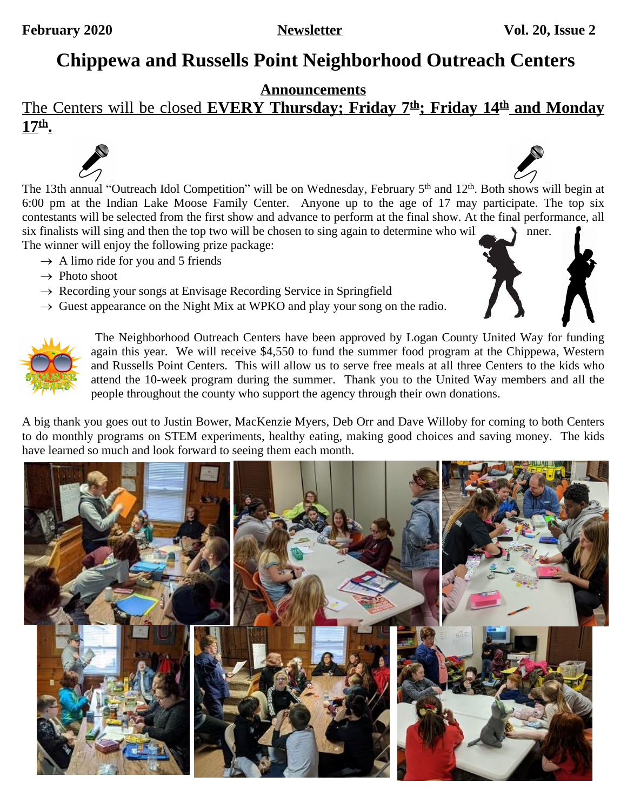# **Chippewa and Russells Point Neighborhood Outreach Centers**

#### **Announcements**

# The Centers will be closed **EVERY Thursday; Friday 7 th; Friday 14th and Monday 17th .**

The 13th annual "Outreach Idol Competition" will be on Wednesday, February 5<sup>th</sup> and 12<sup>th</sup>. Both [shows](https://www.google.com/url?sa=i&rct=j&q=&esrc=s&source=images&cd=&cad=rja&uact=8&ved=2ahUKEwij5oz98_3YAhUP61MKHUaXB5cQjRx6BAgAEAY&url=https://www.mysaline.com/see-times-locations-for-summer-meals-for-kids-provided-by-bryant-schools/&psig=AOvVaw22aaWNb37fsSjcoNxEZP-b&ust=1517340492130237) will begin at 6:00 pm at the Indian Lake Moose Family Center. Anyone up to the age of 17 may participate. The top six contestants will be selected from the first show and advance to perform at the final show. At the final performance, all six finalists will sing and then the top two will be chosen to sing again to determine who will  $\longrightarrow$  mer. The winner will enjoy the following prize package:

- $\rightarrow$  A limo ride for you and 5 friends
- $\rightarrow$  Photo shoot
- $\rightarrow$  Recording your songs at Envisage Recording Service in Springfield
- $\rightarrow$  Guest appearance on the Night Mix at WPKO and play your song on the radio.



The Neighborhood Outreach Centers have been approved by Logan County United Way for funding again this year. We [will](https://www.google.com/url?sa=i&rct=j&q=&esrc=s&source=images&cd=&cad=rja&uact=8&ved=2ahUKEwij5oz98_3YAhUP61MKHUaXB5cQjRx6BAgAEAY&url=https://www.mysaline.com/see-times-locations-for-summer-meals-for-kids-provided-by-bryant-schools/&psig=AOvVaw22aaWNb37fsSjcoNxEZP-b&ust=1517340492130237) [receive](https://www.google.com/url?sa=i&rct=j&q=&esrc=s&source=images&cd=&cad=rja&uact=8&ved=2ahUKEwij5oz98_3YAhUP61MKHUaXB5cQjRx6BAgAEAY&url=https://www.mysaline.com/see-times-locations-for-summer-meals-for-kids-provided-by-bryant-schools/&psig=AOvVaw22aaWNb37fsSjcoNxEZP-b&ust=1517340492130237) [\\$4,550](https://www.google.com/url?sa=i&rct=j&q=&esrc=s&source=images&cd=&cad=rja&uact=8&ved=2ahUKEwij5oz98_3YAhUP61MKHUaXB5cQjRx6BAgAEAY&url=https://www.mysaline.com/see-times-locations-for-summer-meals-for-kids-provided-by-bryant-schools/&psig=AOvVaw22aaWNb37fsSjcoNxEZP-b&ust=1517340492130237) to fund the summer food program at the [Chippewa,](https://www.google.com/url?sa=i&rct=j&q=&esrc=s&source=images&cd=&cad=rja&uact=8&ved=2ahUKEwij5oz98_3YAhUP61MKHUaXB5cQjRx6BAgAEAY&url=https://www.mysaline.com/see-times-locations-for-summer-meals-for-kids-provided-by-bryant-schools/&psig=AOvVaw22aaWNb37fsSjcoNxEZP-b&ust=1517340492130237) Western and [Russells](https://www.google.com/url?sa=i&rct=j&q=&esrc=s&source=images&cd=&cad=rja&uact=8&ved=2ahUKEwij5oz98_3YAhUP61MKHUaXB5cQjRx6BAgAEAY&url=https://www.mysaline.com/see-times-locations-for-summer-meals-for-kids-provided-by-bryant-schools/&psig=AOvVaw22aaWNb37fsSjcoNxEZP-b&ust=1517340492130237) Point Centers. This will allow us to serve free [meals](https://www.google.com/url?sa=i&rct=j&q=&esrc=s&source=images&cd=&cad=rja&uact=8&ved=2ahUKEwij5oz98_3YAhUP61MKHUaXB5cQjRx6BAgAEAY&url=https://www.mysaline.com/see-times-locations-for-summer-meals-for-kids-provided-by-bryant-schools/&psig=AOvVaw22aaWNb37fsSjcoNxEZP-b&ust=1517340492130237) at all three [Centers](https://www.google.com/url?sa=i&rct=j&q=&esrc=s&source=images&cd=&cad=rja&uact=8&ved=2ahUKEwij5oz98_3YAhUP61MKHUaXB5cQjRx6BAgAEAY&url=https://www.mysaline.com/see-times-locations-for-summer-meals-for-kids-provided-by-bryant-schools/&psig=AOvVaw22aaWNb37fsSjcoNxEZP-b&ust=1517340492130237) to the kids [who](https://www.google.com/url?sa=i&rct=j&q=&esrc=s&source=images&cd=&cad=rja&uact=8&ved=2ahUKEwij5oz98_3YAhUP61MKHUaXB5cQjRx6BAgAEAY&url=https://www.mysaline.com/see-times-locations-for-summer-meals-for-kids-provided-by-bryant-schools/&psig=AOvVaw22aaWNb37fsSjcoNxEZP-b&ust=1517340492130237) [attend](https://www.google.com/url?sa=i&rct=j&q=&esrc=s&source=images&cd=&cad=rja&uact=8&ved=2ahUKEwij5oz98_3YAhUP61MKHUaXB5cQjRx6BAgAEAY&url=https://www.mysaline.com/see-times-locations-for-summer-meals-for-kids-provided-by-bryant-schools/&psig=AOvVaw22aaWNb37fsSjcoNxEZP-b&ust=1517340492130237) the [10-week](https://www.google.com/url?sa=i&rct=j&q=&esrc=s&source=images&cd=&cad=rja&uact=8&ved=2ahUKEwij5oz98_3YAhUP61MKHUaXB5cQjRx6BAgAEAY&url=https://www.mysaline.com/see-times-locations-for-summer-meals-for-kids-provided-by-bryant-schools/&psig=AOvVaw22aaWNb37fsSjcoNxEZP-b&ust=1517340492130237) program during the [summer.](https://www.google.com/url?sa=i&rct=j&q=&esrc=s&source=images&cd=&cad=rja&uact=8&ved=2ahUKEwij5oz98_3YAhUP61MKHUaXB5cQjRx6BAgAEAY&url=https://www.mysaline.com/see-times-locations-for-summer-meals-for-kids-provided-by-bryant-schools/&psig=AOvVaw22aaWNb37fsSjcoNxEZP-b&ust=1517340492130237) Thank you to the United Way [members](https://www.google.com/url?sa=i&rct=j&q=&esrc=s&source=images&cd=&cad=rja&uact=8&ved=2ahUKEwij5oz98_3YAhUP61MKHUaXB5cQjRx6BAgAEAY&url=https://www.mysaline.com/see-times-locations-for-summer-meals-for-kids-provided-by-bryant-schools/&psig=AOvVaw22aaWNb37fsSjcoNxEZP-b&ust=1517340492130237) and [all](https://www.google.com/url?sa=i&rct=j&q=&esrc=s&source=images&cd=&cad=rja&uact=8&ved=2ahUKEwij5oz98_3YAhUP61MKHUaXB5cQjRx6BAgAEAY&url=https://www.mysaline.com/see-times-locations-for-summer-meals-for-kids-provided-by-bryant-schools/&psig=AOvVaw22aaWNb37fsSjcoNxEZP-b&ust=1517340492130237) [the](https://www.google.com/url?sa=i&rct=j&q=&esrc=s&source=images&cd=&cad=rja&uact=8&ved=2ahUKEwij5oz98_3YAhUP61MKHUaXB5cQjRx6BAgAEAY&url=https://www.mysaline.com/see-times-locations-for-summer-meals-for-kids-provided-by-bryant-schools/&psig=AOvVaw22aaWNb37fsSjcoNxEZP-b&ust=1517340492130237) [people throughout the county who support the agency through their own donations.](https://www.google.com/url?sa=i&rct=j&q=&esrc=s&source=images&cd=&cad=rja&uact=8&ved=2ahUKEwij5oz98_3YAhUP61MKHUaXB5cQjRx6BAgAEAY&url=https://www.mysaline.com/see-times-locations-for-summer-meals-for-kids-provided-by-bryant-schools/&psig=AOvVaw22aaWNb37fsSjcoNxEZP-b&ust=1517340492130237)

A big thank you goes out to Justin Bower, [MacKenzie](https://www.google.com/url?sa=i&rct=j&q=&esrc=s&source=images&cd=&cad=rja&uact=8&ved=2ahUKEwij5oz98_3YAhUP61MKHUaXB5cQjRx6BAgAEAY&url=https://www.mysaline.com/see-times-locations-for-summer-meals-for-kids-provided-by-bryant-schools/&psig=AOvVaw22aaWNb37fsSjcoNxEZP-b&ust=1517340492130237) Myers, Deb Orr and Dave Willoby for coming to both Centers to do monthly programs on STEM [experiments,](https://www.google.com/url?sa=i&rct=j&q=&esrc=s&source=images&cd=&cad=rja&uact=8&ved=2ahUKEwij5oz98_3YAhUP61MKHUaXB5cQjRx6BAgAEAY&url=https://www.mysaline.com/see-times-locations-for-summer-meals-for-kids-provided-by-bryant-schools/&psig=AOvVaw22aaWNb37fsSjcoNxEZP-b&ust=1517340492130237) healthy eating, making good choices and saving money. The kids [have learned so much and look forward to seeing them each month.](https://www.google.com/url?sa=i&rct=j&q=&esrc=s&source=images&cd=&cad=rja&uact=8&ved=2ahUKEwij5oz98_3YAhUP61MKHUaXB5cQjRx6BAgAEAY&url=https://www.mysaline.com/see-times-locations-for-summer-meals-for-kids-provided-by-bryant-schools/&psig=AOvVaw22aaWNb37fsSjcoNxEZP-b&ust=1517340492130237)